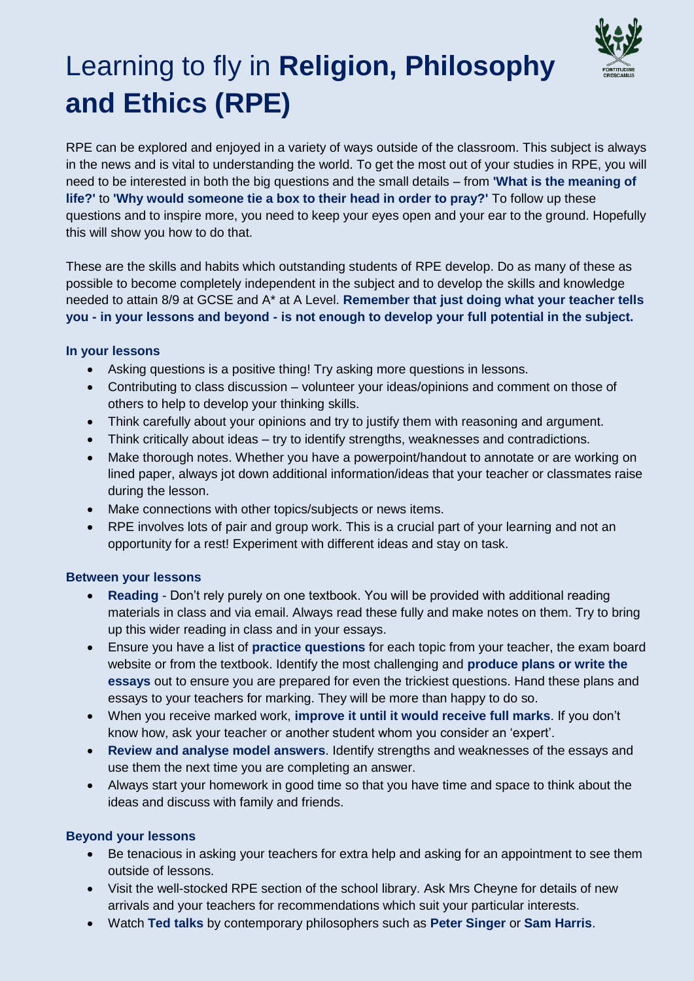

# Learning to fly in **Religion, Philosophy and Ethics (RPE)**

RPE can be explored and enjoyed in a variety of ways outside of the classroom. This subject is always in the news and is vital to understanding the world. To get the most out of your studies in RPE, you will need to be interested in both the big questions and the small details – from **'What is the meaning of life?'** to **'Why would someone tie a box to their head in order to pray?'** To follow up these questions and to inspire more, you need to keep your eyes open and your ear to the ground. Hopefully this will show you how to do that.

These are the skills and habits which outstanding students of RPE develop. Do as many of these as possible to become completely independent in the subject and to develop the skills and knowledge needed to attain 8/9 at GCSE and A\* at A Level. **Remember that just doing what your teacher tells you - in your lessons and beyond - is not enough to develop your full potential in the subject.**

#### **In your lessons**

- Asking questions is a positive thing! Try asking more questions in lessons.
- Contributing to class discussion volunteer your ideas/opinions and comment on those of others to help to develop your thinking skills.
- Think carefully about your opinions and try to justify them with reasoning and argument.
- Think critically about ideas try to identify strengths, weaknesses and contradictions.
- Make thorough notes. Whether you have a powerpoint/handout to annotate or are working on lined paper, always jot down additional information/ideas that your teacher or classmates raise during the lesson.
- Make connections with other topics/subjects or news items.
- RPE involves lots of pair and group work. This is a crucial part of your learning and not an opportunity for a rest! Experiment with different ideas and stay on task.

#### **Between your lessons**

- **Reading** Don't rely purely on one textbook. You will be provided with additional reading materials in class and via email. Always read these fully and make notes on them. Try to bring up this wider reading in class and in your essays.
- Ensure you have a list of **practice questions** for each topic from your teacher, the exam board website or from the textbook. Identify the most challenging and **produce plans or write the essays** out to ensure you are prepared for even the trickiest questions. Hand these plans and essays to your teachers for marking. They will be more than happy to do so.
- When you receive marked work, **improve it until it would receive full marks**. If you don't know how, ask your teacher or another student whom you consider an 'expert'.
- **Review and analyse model answers**. Identify strengths and weaknesses of the essays and use them the next time you are completing an answer.
- Always start your homework in good time so that you have time and space to think about the ideas and discuss with family and friends.

## **Beyond your lessons**

- Be tenacious in asking your teachers for extra help and asking for an appointment to see them outside of lessons.
- Visit the well-stocked RPE section of the school library. Ask Mrs Cheyne for details of new arrivals and your teachers for recommendations which suit your particular interests.
- Watch **Ted talks** by contemporary philosophers such as **Peter Singer** or **Sam Harris**.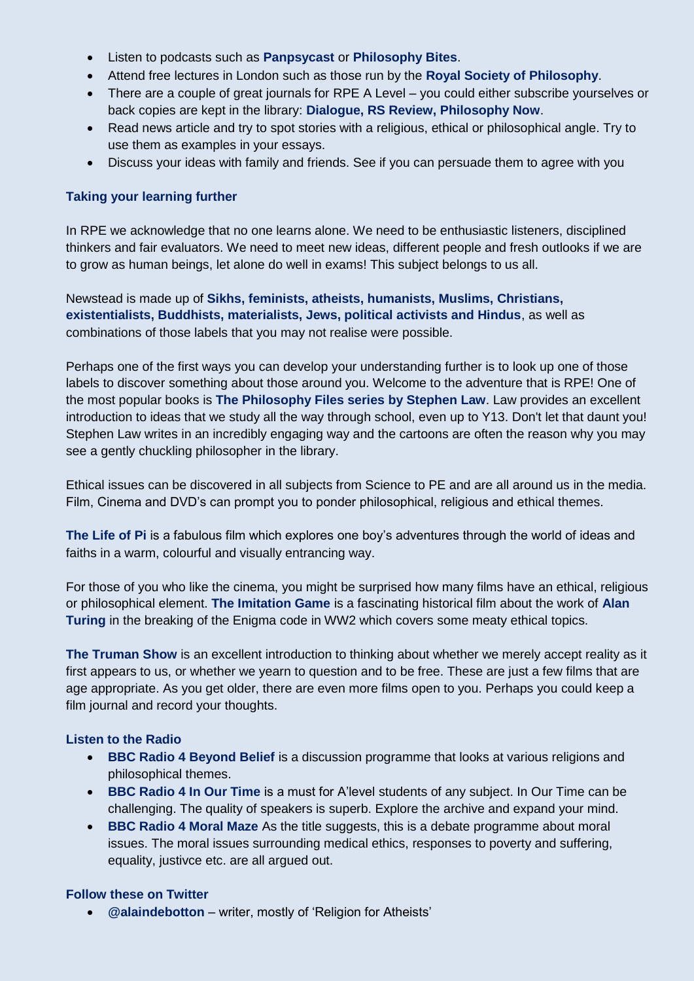- Listen to podcasts such as **Panpsycast** or **Philosophy Bites**.
- Attend free lectures in London such as those run by the **Royal Society of Philosophy**.
- There are a couple of great journals for RPE A Level you could either subscribe yourselves or back copies are kept in the library: **Dialogue, RS Review, Philosophy Now**.
- Read news article and try to spot stories with a religious, ethical or philosophical angle. Try to use them as examples in your essays.
- Discuss your ideas with family and friends. See if you can persuade them to agree with you

## **Taking your learning further**

In RPE we acknowledge that no one learns alone. We need to be enthusiastic listeners, disciplined thinkers and fair evaluators. We need to meet new ideas, different people and fresh outlooks if we are to grow as human beings, let alone do well in exams! This subject belongs to us all.

Newstead is made up of **Sikhs, feminists, atheists, humanists, Muslims, Christians, existentialists, Buddhists, materialists, Jews, political activists and Hindus**, as well as combinations of those labels that you may not realise were possible.

Perhaps one of the first ways you can develop your understanding further is to look up one of those labels to discover something about those around you. Welcome to the adventure that is RPE! One of the most popular books is **The Philosophy Files series by Stephen Law**. Law provides an excellent introduction to ideas that we study all the way through school, even up to Y13. Don't let that daunt you! Stephen Law writes in an incredibly engaging way and the cartoons are often the reason why you may see a gently chuckling philosopher in the library.

Ethical issues can be discovered in all subjects from Science to PE and are all around us in the media. Film, Cinema and DVD's can prompt you to ponder philosophical, religious and ethical themes.

**The Life of Pi** is a fabulous film which explores one boy's adventures through the world of ideas and faiths in a warm, colourful and visually entrancing way.

For those of you who like the cinema, you might be surprised how many films have an ethical, religious or philosophical element. **The Imitation Game** is a fascinating historical film about the work of **Alan Turing** in the breaking of the Enigma code in WW2 which covers some meaty ethical topics.

**The Truman Show** is an excellent introduction to thinking about whether we merely accept reality as it first appears to us, or whether we yearn to question and to be free. These are just a few films that are age appropriate. As you get older, there are even more films open to you. Perhaps you could keep a film journal and record your thoughts.

## **Listen to the Radio**

- **BBC Radio 4 Beyond Belief** is a discussion programme that looks at various religions and philosophical themes.
- **BBC Radio 4 In Our Time** is a must for A'level students of any subject. In Our Time can be challenging. The quality of speakers is superb. Explore the archive and expand your mind.
- **BBC Radio 4 Moral Maze** As the title suggests, this is a debate programme about moral issues. The moral issues surrounding medical ethics, responses to poverty and suffering, equality, justivce etc. are all argued out.

## **Follow these on Twitter**

**@alaindebotton** – writer, mostly of 'Religion for Atheists'